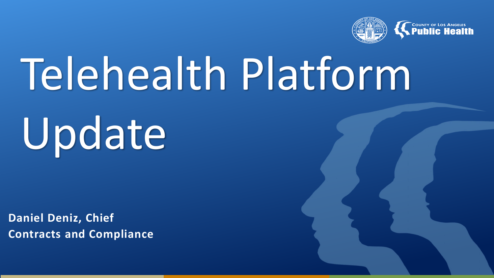

# Telehealth Platform

# Update

**Daniel Deniz, Chief Contracts and Compliance**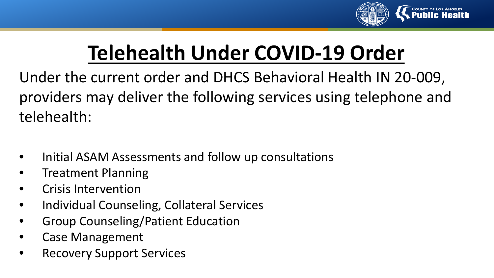

# **Telehealth Under COVID-19 Order**

Under the current order and DHCS Behavioral Health IN 20-009, providers may deliver the following services using telephone and telehealth:

- Initial ASAM Assessments and follow up consultations
- Treatment Planning
- Crisis Intervention
- Individual Counseling, Collateral Services
- Group Counseling/Patient Education
- Case Management
- Recovery Support Services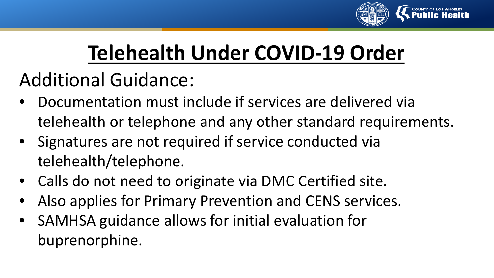

# **Telehealth Under COVID-19 Order**

### Additional Guidance:

- Documentation must include if services are delivered via telehealth or telephone and any other standard requirements.
- Signatures are not required if service conducted via telehealth/telephone.
- Calls do not need to originate via DMC Certified site.
- Also applies for Primary Prevention and CENS services.
- SAMHSA guidance allows for initial evaluation for buprenorphine.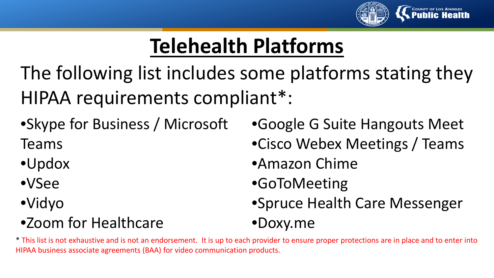

# **Telehealth Platforms**

The following list includes some platforms stating they HIPAA requirements compliant\*:

•Skype for Business / Microsoft

Teams

•Updox

- •VSee
- •Vidyo

#### •Zoom for Healthcare

- •Google G Suite Hangouts Meet
- •Cisco Webex Meetings / Teams
- •Amazon Chime
- •GoToMeeting
- •Spruce Health Care Messenger

#### •Doxy.me

\* This list is not exhaustive and is not an endorsement. It is up to each provider to ensure proper protections are in place and to enter into HIPAA business associate agreements (BAA) for video communication products.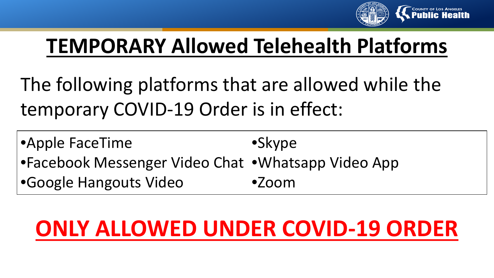

## **TEMPORARY Allowed Telehealth Platforms**

The following platforms that are allowed while the temporary COVID-19 Order is in effect:

| •Apple FaceTime                                    | •Skype |
|----------------------------------------------------|--------|
| •Facebook Messenger Video Chat •Whatsapp Video App |        |
| •Google Hangouts Video                             | •Zoom  |

# **ONLY ALLOWED UNDER COVID-19 ORDER**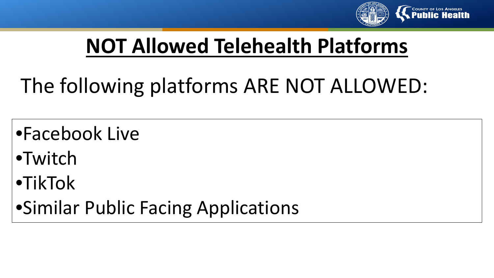

## **NOT Allowed Telehealth Platforms**

# The following platforms ARE NOT ALLOWED:

•Facebook Live

•Twitch

•TikTok

•Similar Public Facing Applications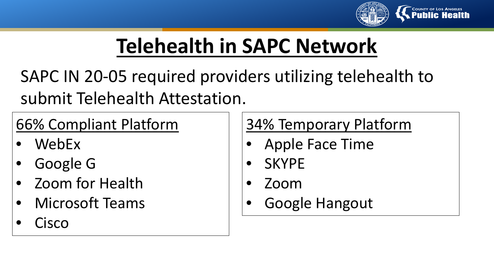

# **Telehealth in SAPC Network**

SAPC IN 20-05 required providers utilizing telehealth to submit Telehealth Attestation.

#### 66% Compliant Platform

- WebEx
- Google G
- Zoom for Health
- Microsoft Teams
- **Cisco**

34% Temporary Platform

- Apple Face Time
- SKYPE
- Zoom
- Google Hangout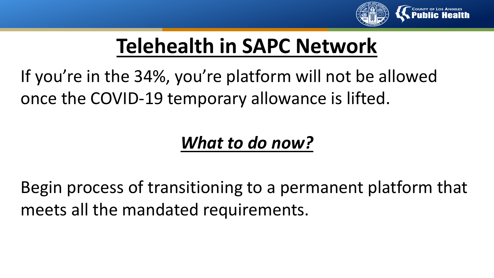

# **Telehealth in SAPC Network**

If you're in the 34%, you're platform will not be allowed once the COVID-19 temporary allowance is lifted.

#### *What to do now?*

Begin process of transitioning to a permanent platform that meets all the mandated requirements.